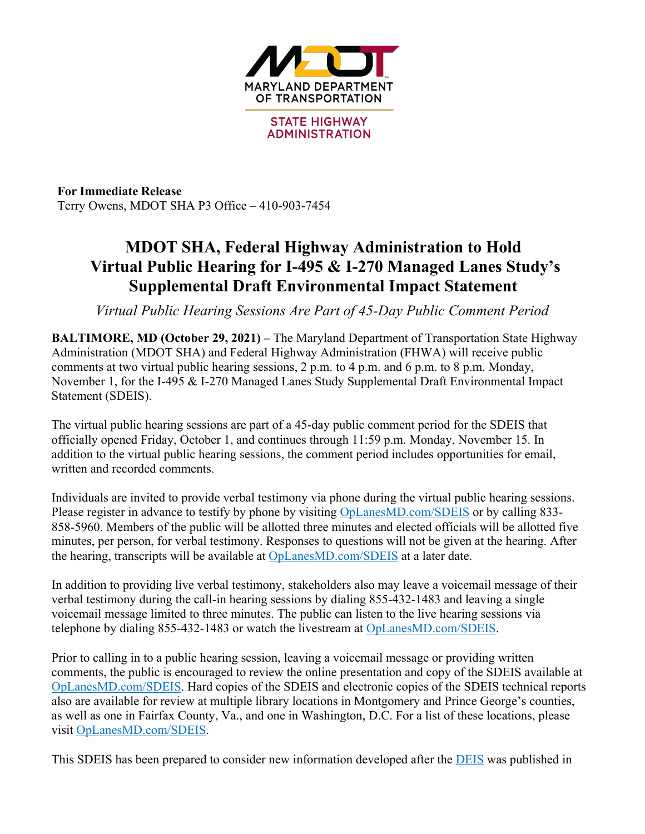

**For Immediate Release** Terry Owens, MDOT SHA P3 Office – 410-903-7454

## **MDOT SHA, Federal Highway Administration to Hold Virtual Public Hearing for I-495 & I-270 Managed Lanes Study's Supplemental Draft Environmental Impact Statement**

*Virtual Public Hearing Sessions Are Part of 45-Day Public Comment Period*

**BALTIMORE, MD (October 29, 2021) –** The Maryland Department of Transportation State Highway Administration (MDOT SHA) and Federal Highway Administration (FHWA) will receive public comments at two virtual public hearing sessions, 2 p.m. to 4 p.m. and 6 p.m. to 8 p.m. Monday, November 1, for the I-495 & I-270 Managed Lanes Study Supplemental Draft Environmental Impact Statement (SDEIS).

The virtual public hearing sessions are part of a 45-day public comment period for the SDEIS that officially opened Friday, October 1, and continues through 11:59 p.m. Monday, November 15. In addition to the virtual public hearing sessions, the comment period includes opportunities for email, written and recorded comments.

Individuals are invited to provide verbal testimony via phone during the virtual public hearing sessions. Please register in advance to testify by phone by visiting OpLanesMD.com/SDEIS or by calling 833- 858-5960. Members of the public will be allotted three minutes and elected officials will be allotted five minutes, per person, for verbal testimony. Responses to questions will not be given at the hearing. After the hearing, transcripts will be available at OpLanesMD.com/SDEIS at a later date.

In addition to providing live verbal testimony, stakeholders also may leave a voicemail message of their verbal testimony during the call-in hearing sessions by dialing 855-432-1483 and leaving a single voicemail message limited to three minutes. The public can listen to the live hearing sessions via telephone by dialing 855-432-1483 or watch the livestream at OpLanesMD.com/SDEIS.

Prior to calling in to a public hearing session, leaving a voicemail message or providing written comments, the public is encouraged to review the online presentation and copy of the SDEIS available at OpLanesMD.com/SDEIS. Hard copies of the SDEIS and electronic copies of the SDEIS technical reports also are available for review at multiple library locations in Montgomery and Prince George's counties, as well as one in Fairfax County, Va., and one in Washington, D.C. For a list of these locations, please visit OpLanesMD.com/SDEIS.

This SDEIS has been prepared to consider new information developed after the DEIS was published in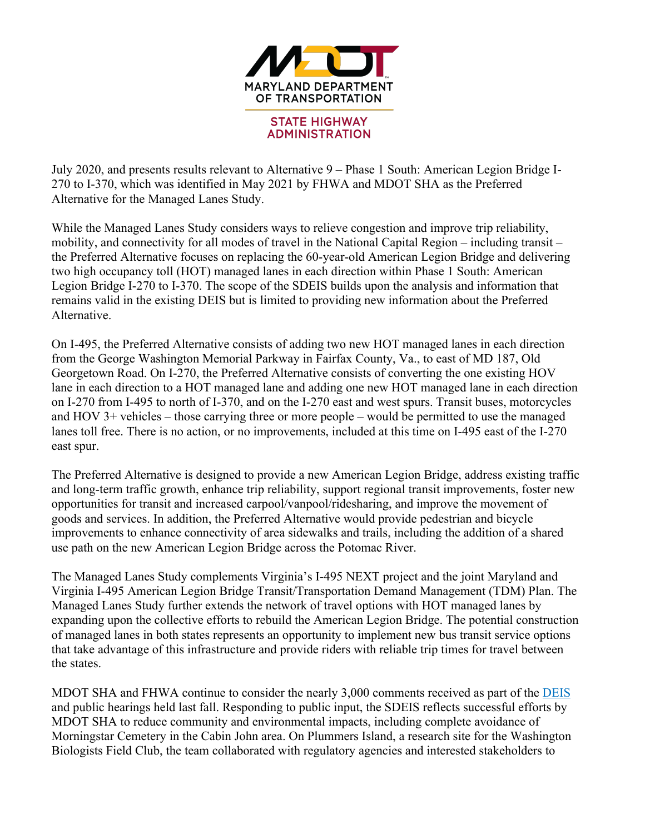

July 2020, and presents results relevant to Alternative 9 – Phase 1 South: American Legion Bridge I-270 to I-370, which was identified in May 2021 by FHWA and MDOT SHA as the Preferred Alternative for the Managed Lanes Study.

While the Managed Lanes Study considers ways to relieve congestion and improve trip reliability, mobility, and connectivity for all modes of travel in the National Capital Region – including transit – the Preferred Alternative focuses on replacing the 60-year-old American Legion Bridge and delivering two high occupancy toll (HOT) managed lanes in each direction within Phase 1 South: American Legion Bridge I-270 to I-370. The scope of the SDEIS builds upon the analysis and information that remains valid in the existing DEIS but is limited to providing new information about the Preferred Alternative.

On I-495, the Preferred Alternative consists of adding two new HOT managed lanes in each direction from the George Washington Memorial Parkway in Fairfax County, Va., to east of MD 187, Old Georgetown Road. On I-270, the Preferred Alternative consists of converting the one existing HOV lane in each direction to a HOT managed lane and adding one new HOT managed lane in each direction on I-270 from I-495 to north of I-370, and on the I-270 east and west spurs. Transit buses, motorcycles and HOV 3+ vehicles – those carrying three or more people – would be permitted to use the managed lanes toll free. There is no action, or no improvements, included at this time on I-495 east of the I-270 east spur.

The Preferred Alternative is designed to provide a new American Legion Bridge, address existing traffic and long-term traffic growth, enhance trip reliability, support regional transit improvements, foster new opportunities for transit and increased carpool/vanpool/ridesharing, and improve the movement of goods and services. In addition, the Preferred Alternative would provide pedestrian and bicycle improvements to enhance connectivity of area sidewalks and trails, including the addition of a shared use path on the new American Legion Bridge across the Potomac River.

The Managed Lanes Study complements Virginia's I-495 NEXT project and the joint Maryland and Virginia I-495 American Legion Bridge Transit/Transportation Demand Management (TDM) Plan. The Managed Lanes Study further extends the network of travel options with HOT managed lanes by expanding upon the collective efforts to rebuild the American Legion Bridge. The potential construction of managed lanes in both states represents an opportunity to implement new bus transit service options that take advantage of this infrastructure and provide riders with reliable trip times for travel between the states.

MDOT SHA and FHWA continue to consider the nearly 3,000 comments received as part of the DEIS and public hearings held last fall. Responding to public input, the SDEIS reflects successful efforts by MDOT SHA to reduce community and environmental impacts, including complete avoidance of Morningstar Cemetery in the Cabin John area. On Plummers Island, a research site for the Washington Biologists Field Club, the team collaborated with regulatory agencies and interested stakeholders to